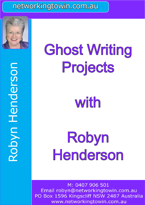# networkingtowin.com.au



# Robyn Henderson Robyn Henderson

# Ghost Writing Projects

with

Robyn Henderson

M: 0407 906 501  $\mathbb{E} \left[ \begin{array}{ccc} \mathbf{F} & \mathbf{F} & \mathbf{F} \\ \mathbf{F} & \mathbf{F} & \mathbf{F} \end{array} \right]$  ${\mathop{\rm map}\nolimits}$  robyn@networkingtowin.com. ${\mathop{\rm dom}\nolimits}$ PO Box 1596 Kingscliff NSW 2487 Australia www.networkingtowin.com.au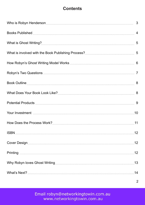# **Contents**

| 12  |
|-----|
| .12 |
|     |
| 14  |

 $\overline{2}$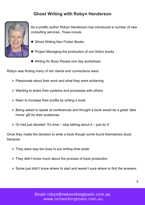# **Ghost Writing with Robyn Henderson**



As a prolific author Robyn Henderson has introduced a number of new consulting services. These include:

- Ghost Writing Non Fiction Books
- **•** Project Managing the production of non fiction books
- Writing for Busy People one day workshops

Robyn was finding many of her clients and connections were:

- $\triangleright$  Passionate about their work and what they were achieving
- Wanting to share their systems and processes with others
- $\triangleright$  Keen to increase their profile by writing a book
- Being asked to speak at conferences and thought a book would be a great 'take home' gift for their audiences
- $\triangleright$  Or had just decided "It's time stop talking about it just do it"

Once they made the decision to write a book though some found themselves stuck because:

- $\triangleright$  They were way too busy to put writing time aside
- They didn't know much about the process of book production
- $\triangleright$  Some just didn't know where to start and weren't sure where to find the answers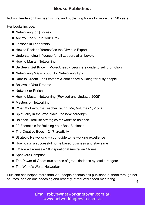# **Books Published:**

Robyn Henderson has been writing and publishing books for more than 20 years.

Her books include:

- Networking for \$uccess
- Are You the VIP in Your Life?
- **•** Lessons in Leadership
- How to Position Yourself as the Obvious Expert
- Understanding Influence for all Leaders at all Levels
- **How to Master Networking**
- Be Seen, Get Known, Move Ahead beginners guide to self promotion
- Networking Magic 366 Hot Networking Tips
- Dare to Dream self esteem & confidence building for busy people
- **•** Believe in Your Dreams
- **Network or Perish**
- How to Master Networking (Revised and Updated 2005)
- Masters of Networking
- What My Favourite Teacher Taught Me, Volumes 1, 2 & 3
- **•** Spirituality in the Workplace: the new paradigm
- Balance real life strategies for work/life balance
- 22 Essentials for Building Your Best Business
- The Creative Edge 24/7 creativity
- Strategic Networking your guide to networking excellence
- How to run a successful home based business and stay sane
- I Made a Promise 50 inspirational Australian Stories
- **•** Speakers Compass
- The Power of Good: true stories of great kindness by total strangers
- The World's Worst Networker

Plus she has helped more than 200 people become self published authors through her courses, one on one coaching and recently introduced speed mentoring.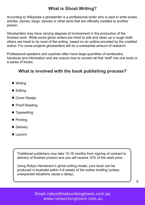# **What is Ghost Writing?**

According to Wikipedia a ghostwriter is a professional writer who is paid to write books, articles, stories, blogs, ebooks or other texts that are officially credited to another person.

Ghostwriters may have varying degrees of involvement in the production of the finished work. While some ghost writers are hired to edit and clean up a rough draft, others are hired to do most of the writing based on an outline provided by the credited author. For some projects ghostwriters will do a substantial amount of research.

Professional speakers and coaches often have large quantities of workbooks, handouts and information and are unsure how to convert all that 'stuff' into one book or a series of books.

# **What is involved with the book publishing process?**

- Writing
- **•** Editing
- **Cover Design**
- **Proof Reading**
- **•** Typesetting
- Printing
- **•** Delivery
- **•** Launch

Traditional publishers may take 12-18 months from signing of contract to delivery of finished product and you will receive 10% of the retail price.

Using Robyn Henderson's ghost writing model, your book can be produced in Australia within 4-6 weeks of the author briefing (unless unexpected situations cause a delay).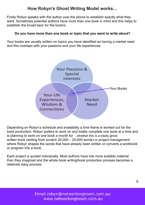# **How Robyn's Ghost Writing Model works…**

Firstly Robyn speaks with the author over the phone to establish exactly what they want. Sometimes potential authors have more than one book in mind and this helps to establish the broad topic for the book/s.

#### **Do you have more than one book or topic that you want to write about?**

Your books are usually written on topics you have identified as having a market need and this overlaps with your passions and your life experiences.



Depending on Robyn's schedule and availability a time frame is worked out for the book production. Robyn prefers to work on and totally complete one book at a time and is planning to work on one book a month for -whether this is a totally ghost written book (writing from scratch 20,000 – 25,000 words) or project management where Robyn shapes the words that have already been written or converts a workbook or program into a book.

Each project is quoted individually. Most authors have lots more suitable material than they imagined and the whole book writing/book production process becomes a relatively easy process.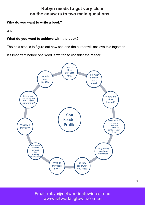#### **Robyn needs to get very clear on the answers to two main questions….**

#### **Why do you want to write a book?**

and

#### **What do you want to achieve with the book?**

The next step is to figure out how she and the author will achieve this together.

It's important before one word is written to consider the reader...



P: 61 7 5323 F: 61 7 5323 F: 61 7 5323 F: 61 7 5323 F: 61 7 5323 F: 61 7 5323 F: 61 7 5323 F: 61 7 6007 906 50<br>P: 61 7 5323 F: 61 7 5323 F: 61 7 5323 F: 61 7 5323 F: 61 7 5323 F: 61 7 5323 F: 61 7 5323 F: 61 7 6007 907 90 Email robyn@networkingtowin.com.au www.networkingtowin.com.au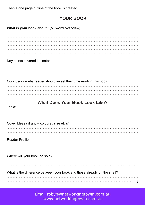Then a one page outline of the book is created…

# **YOUR BOOK**

Email robyn@networkingtowin.com.au www.networkingtowin.com.au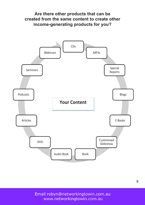



Email robyn@networkingtowin.com.au www.networkingtowin.com.au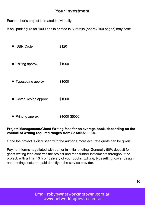#### **Your Investment**

Each author's project is treated individually.

A ball park figure for 1000 books printed in Australia (approx 150 pages) may cost:

- ISBN Code: \$120 ● Editing approx: \$1000 Typesetting approx: \$1000
- Cover Design approx: \$1000
- Printing approx **\$4000-\$5000**

#### **Project Management/Ghost Writing fees for an average book, depending on the volume of writing required ranges from \$2 500-\$10 000.**

Once the project is discussed with the author a more accurate quote can be given.

Payment terms negotiated with author in initial briefing. Generally 50% deposit for ghost writing fees confirms the project and then further instalments throughout the project, with a final 10% on delivery of your books. Editing, typesetting, cover design and printing costs are paid directly to the service provider.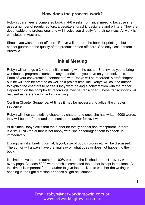#### **How does the process work?**

Robyn guarantees a completed book in 4-6 weeks from initial meeting because she uses a number of regular editors, typesetters, graphic designers and printers. They are dependable and professional and will invoice you directly for their services. All work is completed in Australia.

Should you wish to print offshore, Robyn will prepare the book for printing – but cannot guarantee the quality of the product printed offshore. She only uses printers in Australia.

#### **Initial Meeting**

Robyn will arrange a 3-4 hour initial meeting with the author. She invites you to bring workbooks, programs/courses – any material that you have on your book topic. Parts of your conversation (content etc) with Robyn will be recorded. A draft chapter outline will then be created as well as a project time line. Robyn will ask the author to explain the chapters to her as if they were having a conversation with the reader. Depending on the complexity, recordings may be transcribed. These transcriptions will be used as reference for Robyn's writing.

Confirm Chapter Sequence. At times it may be necessary to adjust the chapter sequence.

Robyn will then start writing chapter by chapter and once she has written 5000 words, they will be proof read and then sent to the author for review.

At all times Robyn asks that the author be totally honest and transparent. If there is ANYTHING the author is not happy with, she encourages them to speak up immediately.

During the initial briefing format, layout, size of book, colours etc will be discussed. The author will always have the final say on what does or does not happen to the book.

It is imperative that the author is 100% proud of the finished product – every word every page. As each 5000 word batch is completed the author is kept in the loop. At this time it is important for the author to give feedback as to whether the writing is heading in the right direction or needs a light adjustment.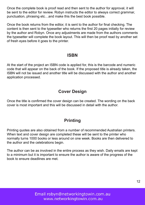Once the complete book is proof read and then sent to the author for approval, it will be sent to the editor for review. Robyn instructs the editor to always correct grammar, punctuation, phrasing etc…and make this the best book possible.

Once the book returns from the editor, it is sent to the author for final checking. The content is then sent to the typesetter who returns the first 20 pages initially for review by the author and Robyn. Once any adjustments are made from the authors comments the typesetter will complete the book layout. This will then be proof read by another set of fresh eyes before it goes to the printer.

#### **ISBN**

At the start of the project an ISBN code is applied for, this is the barcode and numeric code that will appear on the back of the book. If the proposed title is already taken, the ISBN will not be issued and another title will be discussed with the author and another application processed.

#### **Cover Design**

Once the title is confirmed the cover design can be created. The wording on the back cover is most important and this will be discussed in detail with the author.

# **Printing**

Printing quotes are also obtained from a number of recommended Australian printers. When text and cover design are completed these will be sent to the printer who normally turns 1000 books or less around on one week. Books are then delivered to the author and the celebrations begin.

The author can be as involved in the entire process as they wish. Daily emails are kept to a minimum but it is important to ensure the author is aware of the progress of the book to ensure deadlines are met.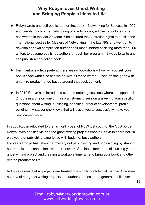#### **Why Robyn loves Ghost Writing and Bringing People's Ideas to Life…**

- Robyn wrote and self published her first book Networking for \$uccess in 1992 and credits much of her networking profile to books, articles, ebooks etc she has written in the last 20 years. She secured the Australian rights to publish the international best seller Masters of Networking in the late '90s and went on to develop her own compilation author book model before assisting more than 200 writers to become published authors through her program – 3 ways to write and self publish a non-fiction book.  $\bullet$
- Her mantra is let's pretend there are no bookshops how will you sell your books? And what else can we do with all those words? – and off she goes with an entire product range based around that book content.  $\bullet$
- In 2010 Robyn also introduced speed mentoring sessions where she spends 1- 2 hours in a one on one or mini brainstorming session answering your specific questions about writing, publishing, speaking, product development, profile building – whatever she knows that will assist you to successfully make your next career move.  $\bullet$

In 2003 Robyn relocated to the far north coast of NSW just south of the QLD border. Robyn loves her lifestyle and the ghost writing projects enable Robyn to share her 20 plus years of publishing experience with budding, busy authors.

For years Robyn has taken the mystery out of publishing and book writing by sharing her models and connections with her network. She looks forward to discussing your ghost writing project and creating a workable timeframe to bring your book and other related products to life.

Robyn stresses that all projects are treated in a strictly confidential manner. She does not reveal her ghost writing projects and authors names to the general public ever.